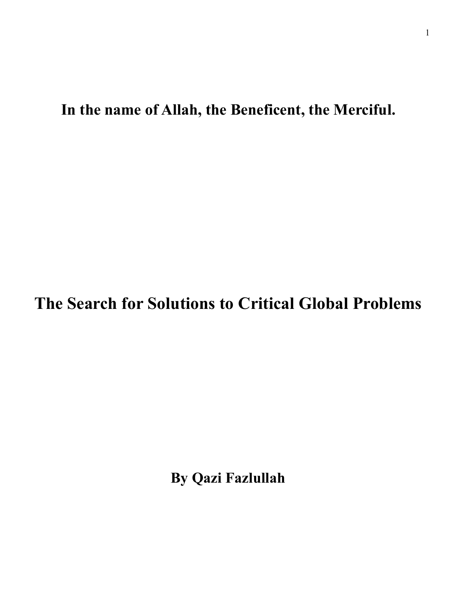**In the name of Allah, the Beneficent, the Merciful.** 

**The Search for Solutions to Critical Global Problems** 

**By Qazi Fazlullah**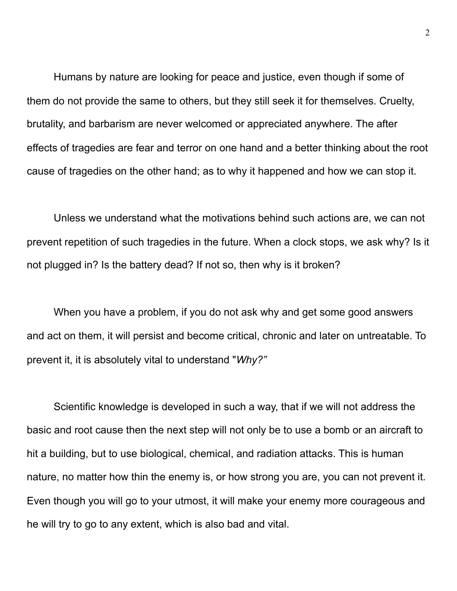Humans by nature are looking for peace and justice, even though if some of them do not provide the same to others, but they still seek it for themselves. Cruelty, brutality, and barbarism are never welcomed or appreciated anywhere. The after effects of tragedies are fear and terror on one hand and a better thinking about the root cause of tragedies on the other hand; as to why it happened and how we can stop it.

 Unless we understand what the motivations behind such actions are, we can not prevent repetition of such tragedies in the future. When a clock stops, we ask why? Is it not plugged in? Is the battery dead? If not so, then why is it broken?

 When you have a problem, if you do not ask why and get some good answers and act on them, it will persist and become critical, chronic and later on untreatable. To prevent it, it is absolutely vital to understand "*Why?"*

 Scientific knowledge is developed in such a way, that if we will not address the basic and root cause then the next step will not only be to use a bomb or an aircraft to hit a building, but to use biological, chemical, and radiation attacks. This is human nature, no matter how thin the enemy is, or how strong you are, you can not prevent it. Even though you will go to your utmost, it will make your enemy more courageous and he will try to go to any extent, which is also bad and vital.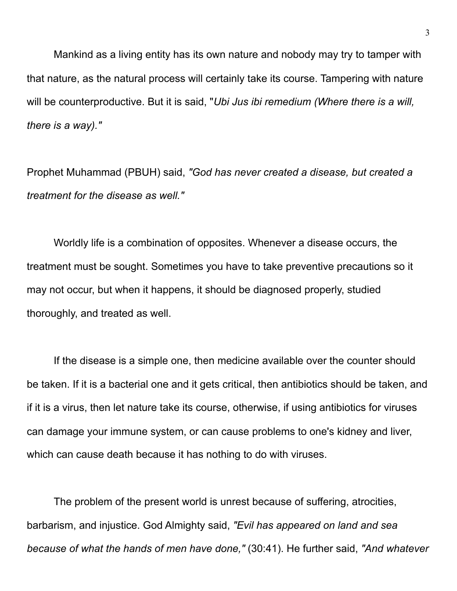Mankind as a living entity has its own nature and nobody may try to tamper with that nature, as the natural process will certainly take its course. Tampering with nature will be counterproductive. But it is said, "*Ubi Jus ibi remedium (Where there is a will, there is a way)."*

Prophet Muhammad (PBUH) said, *"God has never created a disease, but created a treatment for the disease as well."*

 Worldly life is a combination of opposites. Whenever a disease occurs, the treatment must be sought. Sometimes you have to take preventive precautions so it may not occur, but when it happens, it should be diagnosed properly, studied thoroughly, and treated as well.

 If the disease is a simple one, then medicine available over the counter should be taken. If it is a bacterial one and it gets critical, then antibiotics should be taken, and if it is a virus, then let nature take its course, otherwise, if using antibiotics for viruses can damage your immune system, or can cause problems to one's kidney and liver, which can cause death because it has nothing to do with viruses.

The problem of the present world is unrest because of suffering, atrocities, barbarism, and injustice. God Almighty said, *"Evil has appeared on land and sea because of what the hands of men have done,"* (30:41). He further said, *"And whatever*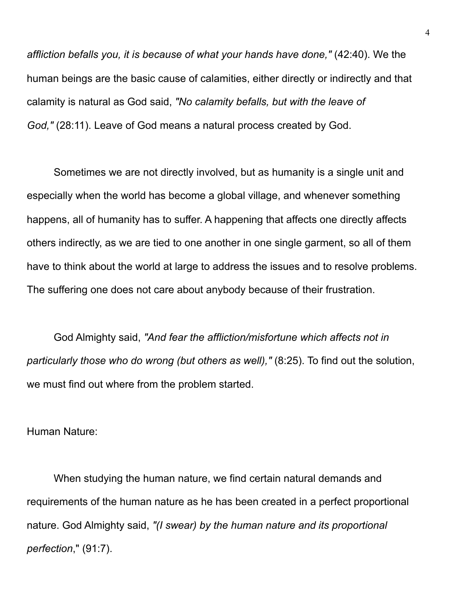*affliction befalls you, it is because of what your hands have done,"* (42:40). We the human beings are the basic cause of calamities, either directly or indirectly and that calamity is natural as God said, *"No calamity befalls, but with the leave of God,"* (28:11). Leave of God means a natural process created by God.

 Sometimes we are not directly involved, but as humanity is a single unit and especially when the world has become a global village, and whenever something happens, all of humanity has to suffer. A happening that affects one directly affects others indirectly, as we are tied to one another in one single garment, so all of them have to think about the world at large to address the issues and to resolve problems. The suffering one does not care about anybody because of their frustration.

God Almighty said, *"And fear the affliction/misfortune which affects not in particularly those who do wrong (but others as well),"* (8:25). To find out the solution, we must find out where from the problem started.

Human Nature:

 When studying the human nature, we find certain natural demands and requirements of the human nature as he has been created in a perfect proportional nature. God Almighty said, *"(I swear) by the human nature and its proportional perfection*," (91:7).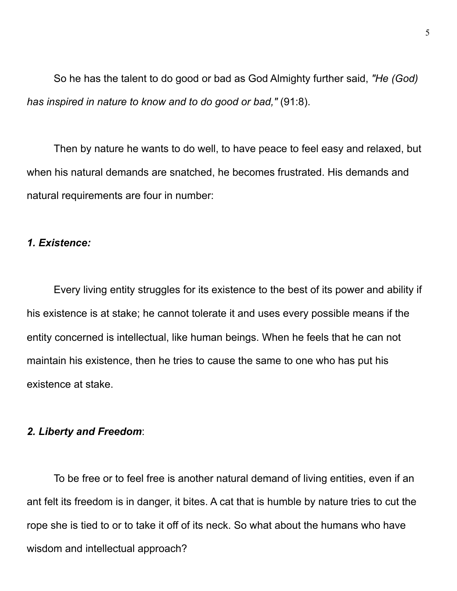So he has the talent to do good or bad as God Almighty further said, *"He (God) has inspired in nature to know and to do good or bad,"* (91:8).

 Then by nature he wants to do well, to have peace to feel easy and relaxed, but when his natural demands are snatched, he becomes frustrated. His demands and natural requirements are four in number:

## *1. Existence:*

 Every living entity struggles for its existence to the best of its power and ability if his existence is at stake; he cannot tolerate it and uses every possible means if the entity concerned is intellectual, like human beings. When he feels that he can not maintain his existence, then he tries to cause the same to one who has put his existence at stake.

#### *2. Liberty and Freedom*:

 To be free or to feel free is another natural demand of living entities, even if an ant felt its freedom is in danger, it bites. A cat that is humble by nature tries to cut the rope she is tied to or to take it off of its neck. So what about the humans who have wisdom and intellectual approach?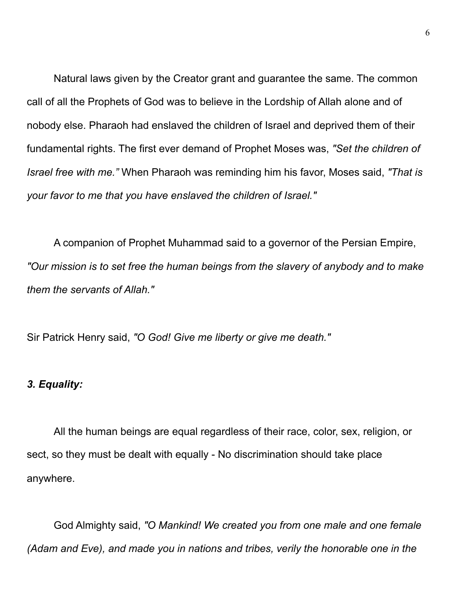Natural laws given by the Creator grant and guarantee the same. The common call of all the Prophets of God was to believe in the Lordship of Allah alone and of nobody else. Pharaoh had enslaved the children of Israel and deprived them of their fundamental rights. The first ever demand of Prophet Moses was, *"Set the children of Israel free with me."* When Pharaoh was reminding him his favor, Moses said, *"That is your favor to me that you have enslaved the children of Israel."*

 A companion of Prophet Muhammad said to a governor of the Persian Empire, *"Our mission is to set free the human beings from the slavery of anybody and to make them the servants of Allah."*

Sir Patrick Henry said, *"O God! Give me liberty or give me death."* 

# *3. Equality:*

 All the human beings are equal regardless of their race, color, sex, religion, or sect, so they must be dealt with equally - No discrimination should take place anywhere.

 God Almighty said, *"O Mankind! We created you from one male and one female (Adam and Eve), and made you in nations and tribes, verily the honorable one in the*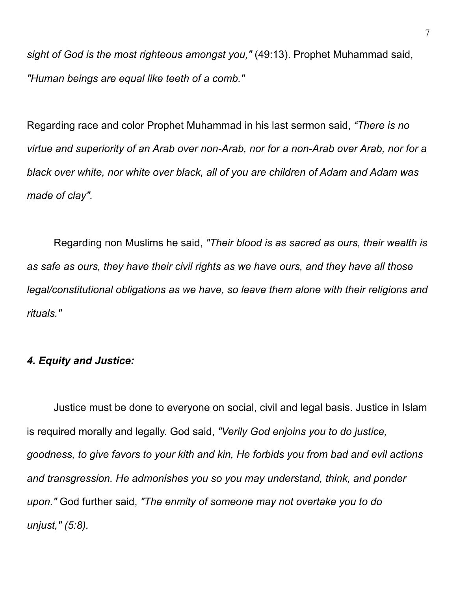*sight of God is the most righteous amongst you,"* (49:13). Prophet Muhammad said, *"Human beings are equal like teeth of a comb."* 

Regarding race and color Prophet Muhammad in his last sermon said, *"There is no virtue and superiority of an Arab over non-Arab, nor for a non-Arab over Arab, nor for a black over white, nor white over black, all of you are children of Adam and Adam was made of clay".*

 Regarding non Muslims he said, *"Their blood is as sacred as ours, their wealth is as safe as ours, they have their civil rights as we have ours, and they have all those legal/constitutional obligations as we have, so leave them alone with their religions and rituals."* 

# *4. Equity and Justice:*

 Justice must be done to everyone on social, civil and legal basis. Justice in Islam is required morally and legally. God said, *"Verily God enjoins you to do justice, goodness, to give favors to your kith and kin, He forbids you from bad and evil actions and transgression. He admonishes you so you may understand, think, and ponder upon."* God further said, *"The enmity of someone may not overtake you to do unjust," (5:8).*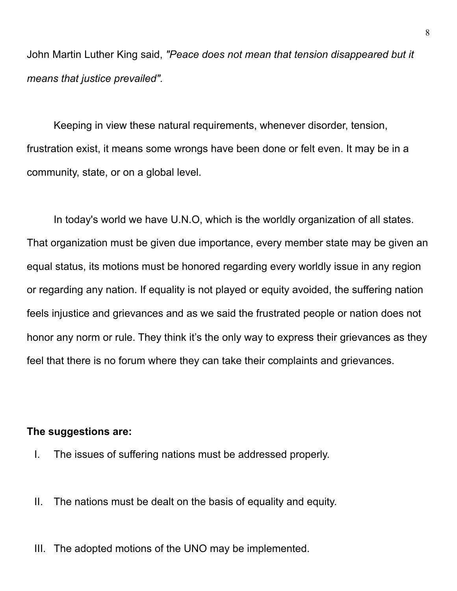John Martin Luther King said, *"Peace does not mean that tension disappeared but it means that justice prevailed".* 

 Keeping in view these natural requirements, whenever disorder, tension, frustration exist, it means some wrongs have been done or felt even. It may be in a community, state, or on a global level.

 In today's world we have U.N.O, which is the worldly organization of all states. That organization must be given due importance, every member state may be given an equal status, its motions must be honored regarding every worldly issue in any region or regarding any nation. If equality is not played or equity avoided, the suffering nation feels injustice and grievances and as we said the frustrated people or nation does not honor any norm or rule. They think it's the only way to express their grievances as they feel that there is no forum where they can take their complaints and grievances.

## **The suggestions are:**

- I. The issues of suffering nations must be addressed properly.
- II. The nations must be dealt on the basis of equality and equity.
- III. The adopted motions of the UNO may be implemented.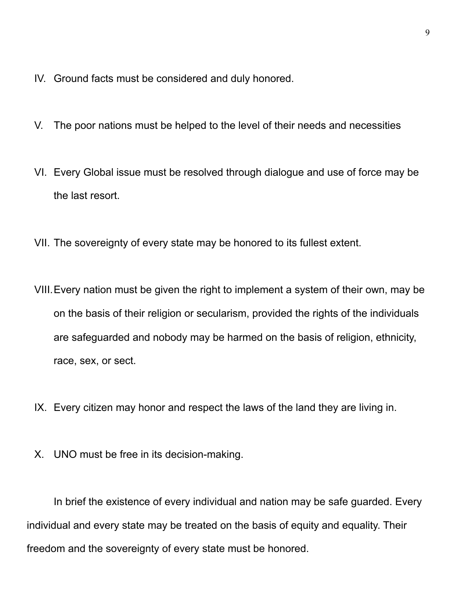- IV. Ground facts must be considered and duly honored.
- V. The poor nations must be helped to the level of their needs and necessities
- VI. Every Global issue must be resolved through dialogue and use of force may be the last resort.
- VII. The sovereignty of every state may be honored to its fullest extent.
- VIII.Every nation must be given the right to implement a system of their own, may be on the basis of their religion or secularism, provided the rights of the individuals are safeguarded and nobody may be harmed on the basis of religion, ethnicity, race, sex, or sect.
- IX. Every citizen may honor and respect the laws of the land they are living in.
- X. UNO must be free in its decision-making.

 In brief the existence of every individual and nation may be safe guarded. Every individual and every state may be treated on the basis of equity and equality. Their freedom and the sovereignty of every state must be honored.